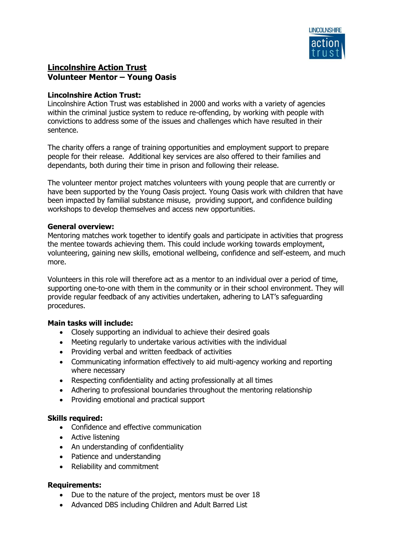

# **Lincolnshire Action Trust Volunteer Mentor – Young Oasis**

### **Lincolnshire Action Trust:**

Lincolnshire Action Trust was established in 2000 and works with a variety of agencies within the criminal justice system to reduce re-offending, by working with people with convictions to address some of the issues and challenges which have resulted in their sentence.

The charity offers a range of training opportunities and employment support to prepare people for their release. Additional key services are also offered to their families and dependants, both during their time in prison and following their release.

The volunteer mentor project matches volunteers with young people that are currently or have been supported by the Young Oasis project. Young Oasis work with children that have been impacted by familial substance misuse, providing support, and confidence building workshops to develop themselves and access new opportunities.

#### **General overview:**

Mentoring matches work together to identify goals and participate in activities that progress the mentee towards achieving them. This could include working towards employment, volunteering, gaining new skills, emotional wellbeing, confidence and self-esteem, and much more.

Volunteers in this role will therefore act as a mentor to an individual over a period of time, supporting one-to-one with them in the community or in their school environment. They will provide regular feedback of any activities undertaken, adhering to LAT's safeguarding procedures.

# **Main tasks will include:**

- Closely supporting an individual to achieve their desired goals
- Meeting regularly to undertake various activities with the individual
- Providing verbal and written feedback of activities
- Communicating information effectively to aid multi-agency working and reporting where necessary
- Respecting confidentiality and acting professionally at all times
- Adhering to professional boundaries throughout the mentoring relationship
- Providing emotional and practical support

#### **Skills required:**

- Confidence and effective communication
- Active listening
- An understanding of confidentiality
- Patience and understanding
- Reliability and commitment

#### **Requirements:**

- Due to the nature of the project, mentors must be over 18
- Advanced DBS including Children and Adult Barred List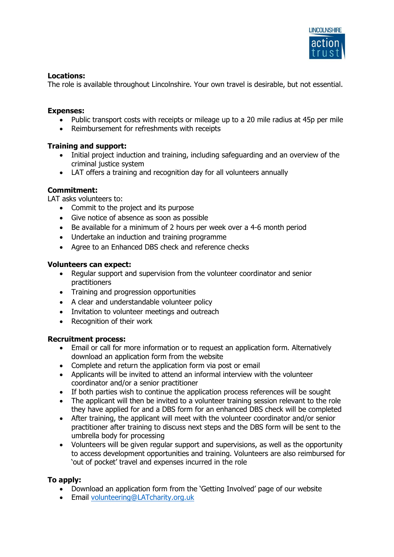

# **Locations:**

The role is available throughout Lincolnshire. Your own travel is desirable, but not essential.

# **Expenses:**

- Public transport costs with receipts or mileage up to a 20 mile radius at 45p per mile
- Reimbursement for refreshments with receipts

### **Training and support:**

- Initial project induction and training, including safeguarding and an overview of the criminal justice system
- LAT offers a training and recognition day for all volunteers annually

# **Commitment:**

LAT asks volunteers to:

- Commit to the project and its purpose
- Give notice of absence as soon as possible
- Be available for a minimum of 2 hours per week over a 4-6 month period
- Undertake an induction and training programme
- Agree to an Enhanced DBS check and reference checks

#### **Volunteers can expect:**

- Regular support and supervision from the volunteer coordinator and senior practitioners
- Training and progression opportunities
- A clear and understandable volunteer policy
- Invitation to volunteer meetings and outreach
- Recognition of their work

#### **Recruitment process:**

- Email or call for more information or to request an application form. Alternatively download an application form from the website
- Complete and return the application form via post or email
- Applicants will be invited to attend an informal interview with the volunteer coordinator and/or a senior practitioner
- If both parties wish to continue the application process references will be sought
- The applicant will then be invited to a volunteer training session relevant to the role they have applied for and a DBS form for an enhanced DBS check will be completed
- After training, the applicant will meet with the volunteer coordinator and/or senior practitioner after training to discuss next steps and the DBS form will be sent to the umbrella body for processing
- Volunteers will be given regular support and supervisions, as well as the opportunity to access development opportunities and training. Volunteers are also reimbursed for 'out of pocket' travel and expenses incurred in the role

# **To apply:**

- Download an application form from the 'Getting Involved' page of our website
- Email [volunteering@LATcharity.org.uk](mailto:volunteering@LATcharity.org.uk)